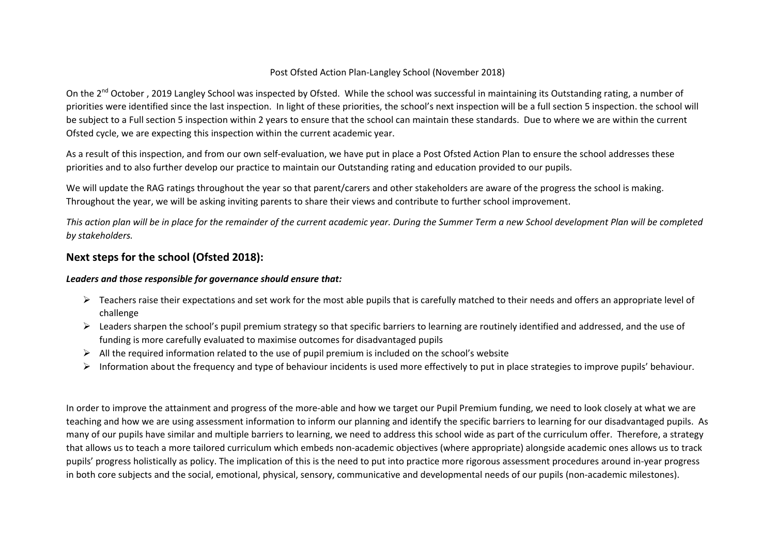## Post Ofsted Action Plan-Langley School (November 2018)

On the 2<sup>nd</sup> October, 2019 Langley School was inspected by Ofsted. While the school was successful in maintaining its Outstanding rating, a number of priorities were identified since the last inspection. In light of these priorities, the school's next inspection will be a full section 5 inspection. the school will be subject to a Full section 5 inspection within 2 years to ensure that the school can maintain these standards. Due to where we are within the current Ofsted cycle, we are expecting this inspection within the current academic year.

As a result of this inspection, and from our own self-evaluation, we have put in place a Post Ofsted Action Plan to ensure the school addresses these priorities and to also further develop our practice to maintain our Outstanding rating and education provided to our pupils.

We will update the RAG ratings throughout the year so that parent/carers and other stakeholders are aware of the progress the school is making. Throughout the year, we will be asking inviting parents to share their views and contribute to further school improvement.

*This action plan will be in place for the remainder of the current academic year. During the Summer Term a new School development Plan will be completed by stakeholders.* 

## **Next steps for the school (Ofsted 2018):**

## *Leaders and those responsible for governance should ensure that:*

- $\triangleright$  Teachers raise their expectations and set work for the most able pupils that is carefully matched to their needs and offers an appropriate level of challenge
- $\triangleright$  Leaders sharpen the school's pupil premium strategy so that specific barriers to learning are routinely identified and addressed, and the use of funding is more carefully evaluated to maximise outcomes for disadvantaged pupils
- $\triangleright$  All the required information related to the use of pupil premium is included on the school's website
- $\triangleright$  Information about the frequency and type of behaviour incidents is used more effectively to put in place strategies to improve pupils' behaviour.

In order to improve the attainment and progress of the more-able and how we target our Pupil Premium funding, we need to look closely at what we are teaching and how we are using assessment information to inform our planning and identify the specific barriers to learning for our disadvantaged pupils. As many of our pupils have similar and multiple barriers to learning, we need to address this school wide as part of the curriculum offer. Therefore, a strategy that allows us to teach a more tailored curriculum which embeds non-academic objectives (where appropriate) alongside academic ones allows us to track pupils' progress holistically as policy. The implication of this is the need to put into practice more rigorous assessment procedures around in-year progress in both core subjects and the social, emotional, physical, sensory, communicative and developmental needs of our pupils (non-academic milestones).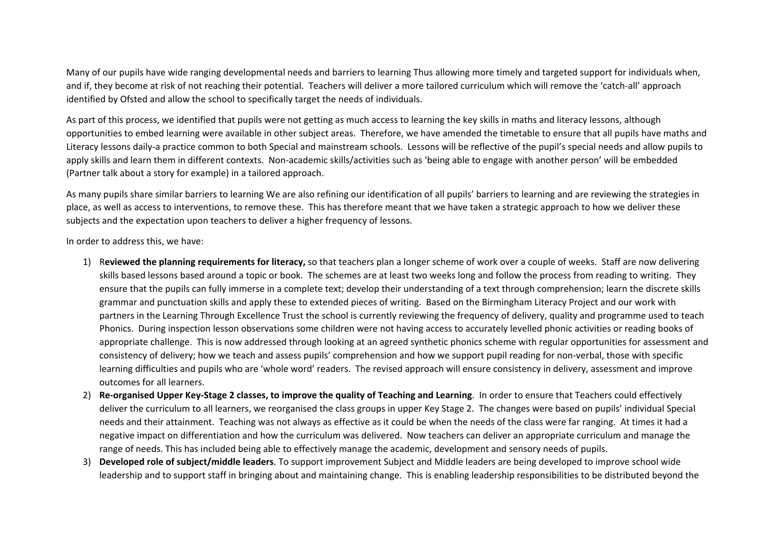Many of our pupils have wide ranging developmental needs and barriers to learning Thus allowing more timely and targeted support for individuals when, and if, they become at risk of not reaching their potential. Teachers will deliver a more tailored curriculum which will remove the 'catch-all' approach identified by Ofsted and allow the school to specifically target the needs of individuals.

As part of this process, we identified that pupils were not getting as much access to learning the key skills in maths and literacy lessons, although opportunities to embed learning were available in other subject areas. Therefore, we have amended the timetable to ensure that all pupils have maths and Literacy lessons daily-a practice common to both Special and mainstream schools. Lessons will be reflective of the pupil's special needs and allow pupils to apply skills and learn them in different contexts. Non-academic skills/activities such as 'being able to engage with another person' will be embedded (Partner talk about a story for example) in a tailored approach.

As many pupils share similar barriers to learning We are also refining our identification of all pupils' barriers to learning and are reviewing the strategies in place, as well as access to interventions, to remove these. This has therefore meant that we have taken a strategic approach to how we deliver these subjects and the expectation upon teachers to deliver a higher frequency of lessons.

In order to address this, we have:

- 1) R**eviewed the planning requirements for literacy,** so that teachers plan a longer scheme of work over a couple of weeks. Staff are now delivering skills based lessons based around a topic or book. The schemes are at least two weeks long and follow the process from reading to writing. They ensure that the pupils can fully immerse in a complete text; develop their understanding of a text through comprehension; learn the discrete skills grammar and punctuation skills and apply these to extended pieces of writing. Based on the Birmingham Literacy Project and our work with partners in the Learning Through Excellence Trust the school is currently reviewing the frequency of delivery, quality and programme used to teach Phonics. During inspection lesson observations some children were not having access to accurately levelled phonic activities or reading books of appropriate challenge. This is now addressed through looking at an agreed synthetic phonics scheme with regular opportunities for assessment and consistency of delivery; how we teach and assess pupils' comprehension and how we support pupil reading for non-verbal, those with specific learning difficulties and pupils who are 'whole word' readers. The revised approach will ensure consistency in delivery, assessment and improve outcomes for all learners.
- 2) **Re-organised Upper Key-Stage 2 classes, to improve the quality of Teaching and Learning**. In order to ensure that Teachers could effectively deliver the curriculum to all learners, we reorganised the class groups in upper Key Stage 2. The changes were based on pupils' individual Special needs and their attainment. Teaching was not always as effective as it could be when the needs of the class were far ranging. At times it had a negative impact on differentiation and how the curriculum was delivered. Now teachers can deliver an appropriate curriculum and manage the range of needs. This has included being able to effectively manage the academic, development and sensory needs of pupils.
- 3) **Developed role of subject/middle leaders**. To support improvement Subject and Middle leaders are being developed to improve school wide leadership and to support staff in bringing about and maintaining change. This is enabling leadership responsibilities to be distributed beyond the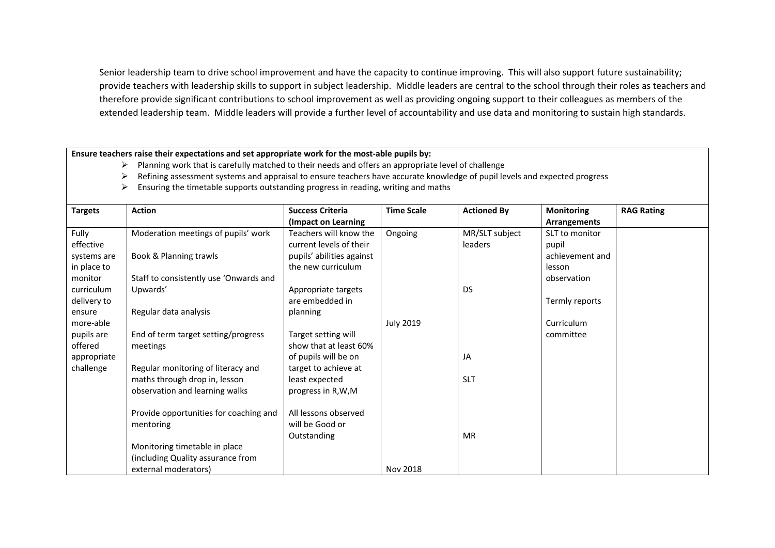Senior leadership team to drive school improvement and have the capacity to continue improving. This will also support future sustainability; provide teachers with leadership skills to support in subject leadership. Middle leaders are central to the school through their roles as teachers and therefore provide significant contributions to school improvement as well as providing ongoing support to their colleagues as members of the extended leadership team. Middle leaders will provide a further level of accountability and use data and monitoring to sustain high standards.

**Ensure teachers raise their expectations and set appropriate work for the most-able pupils by:** 

- $\triangleright$  Planning work that is carefully matched to their needs and offers an appropriate level of challenge
- $\triangleright$  Refining assessment systems and appraisal to ensure teachers have accurate knowledge of pupil levels and expected progress
- $\triangleright$  Ensuring the timetable supports outstanding progress in reading, writing and maths

| <b>Targets</b> | <b>Action</b>                          | <b>Success Criteria</b>   | <b>Time Scale</b> | <b>Actioned By</b> | <b>Monitoring</b> | <b>RAG Rating</b> |
|----------------|----------------------------------------|---------------------------|-------------------|--------------------|-------------------|-------------------|
|                |                                        | (Impact on Learning)      |                   |                    | Arrangements      |                   |
| Fully          | Moderation meetings of pupils' work    | Teachers will know the    | Ongoing           | MR/SLT subject     | SLT to monitor    |                   |
| effective      |                                        | current levels of their   |                   | <b>leaders</b>     | pupil             |                   |
| systems are    | Book & Planning trawls                 | pupils' abilities against |                   |                    | achievement and   |                   |
| in place to    |                                        | the new curriculum        |                   |                    | lesson            |                   |
| monitor        | Staff to consistently use 'Onwards and |                           |                   |                    | observation       |                   |
| curriculum     | Upwards'                               | Appropriate targets       |                   | <b>DS</b>          |                   |                   |
| delivery to    |                                        | are embedded in           |                   |                    | Termly reports    |                   |
| ensure         | Regular data analysis                  | planning                  |                   |                    |                   |                   |
| more-able      |                                        |                           | <b>July 2019</b>  |                    | Curriculum        |                   |
| pupils are     | End of term target setting/progress    | Target setting will       |                   |                    | committee         |                   |
| offered        | meetings                               | show that at least 60%    |                   |                    |                   |                   |
| appropriate    |                                        | of pupils will be on      |                   | JA                 |                   |                   |
| challenge      | Regular monitoring of literacy and     | target to achieve at      |                   |                    |                   |                   |
|                | maths through drop in, lesson          | least expected            |                   | <b>SLT</b>         |                   |                   |
|                | observation and learning walks         | progress in R,W,M         |                   |                    |                   |                   |
|                |                                        |                           |                   |                    |                   |                   |
|                | Provide opportunities for coaching and | All lessons observed      |                   |                    |                   |                   |
|                | mentoring                              | will be Good or           |                   |                    |                   |                   |
|                |                                        | Outstanding               |                   | <b>MR</b>          |                   |                   |
|                | Monitoring timetable in place          |                           |                   |                    |                   |                   |
|                | (including Quality assurance from      |                           |                   |                    |                   |                   |
|                | external moderators)                   |                           | Nov 2018          |                    |                   |                   |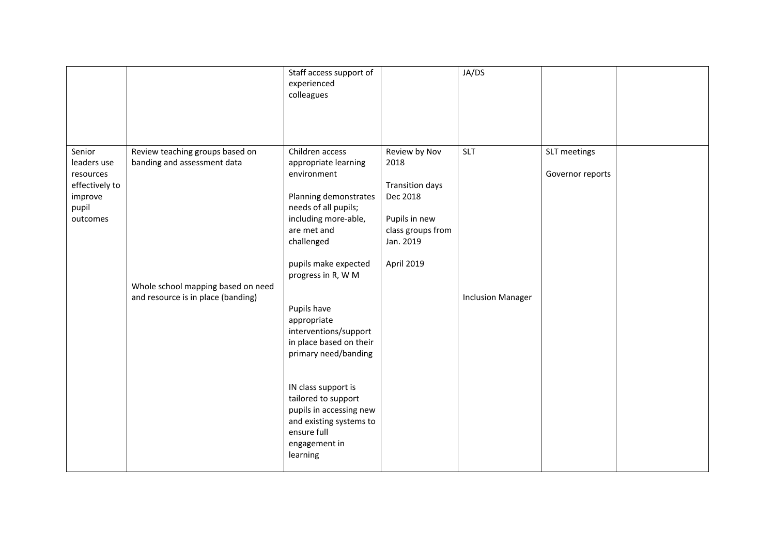|                                                                                      |                                                                                                                                            | Staff access support of<br>experienced<br>colleagues                                                                                                                                                                                     |                                                                                                                              | JA/DS                                  |                                  |  |
|--------------------------------------------------------------------------------------|--------------------------------------------------------------------------------------------------------------------------------------------|------------------------------------------------------------------------------------------------------------------------------------------------------------------------------------------------------------------------------------------|------------------------------------------------------------------------------------------------------------------------------|----------------------------------------|----------------------------------|--|
| Senior<br>leaders use<br>resources<br>effectively to<br>improve<br>pupil<br>outcomes | Review teaching groups based on<br>banding and assessment data<br>Whole school mapping based on need<br>and resource is in place (banding) | Children access<br>appropriate learning<br>environment<br>Planning demonstrates<br>needs of all pupils;<br>including more-able,<br>are met and<br>challenged<br>pupils make expected<br>progress in R, W M<br>Pupils have<br>appropriate | Review by Nov<br>2018<br><b>Transition days</b><br>Dec 2018<br>Pupils in new<br>class groups from<br>Jan. 2019<br>April 2019 | <b>SLT</b><br><b>Inclusion Manager</b> | SLT meetings<br>Governor reports |  |
|                                                                                      |                                                                                                                                            | interventions/support<br>in place based on their<br>primary need/banding<br>IN class support is<br>tailored to support<br>pupils in accessing new<br>and existing systems to<br>ensure full<br>engagement in<br>learning                 |                                                                                                                              |                                        |                                  |  |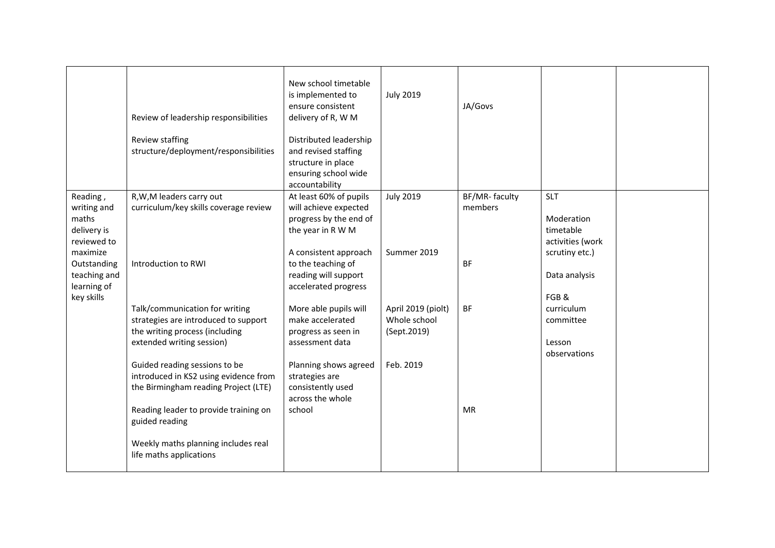|                                                                            | Review of leadership responsibilities<br>Review staffing                                                                                                | New school timetable<br>is implemented to<br>ensure consistent<br>delivery of R, W M<br>Distributed leadership          | <b>July 2019</b>                                  | JA/Govs                  |                                                                             |  |
|----------------------------------------------------------------------------|---------------------------------------------------------------------------------------------------------------------------------------------------------|-------------------------------------------------------------------------------------------------------------------------|---------------------------------------------------|--------------------------|-----------------------------------------------------------------------------|--|
|                                                                            | structure/deployment/responsibilities                                                                                                                   | and revised staffing<br>structure in place<br>ensuring school wide<br>accountability                                    |                                                   |                          |                                                                             |  |
| Reading,<br>writing and<br>maths<br>delivery is<br>reviewed to<br>maximize | R, W, M leaders carry out<br>curriculum/key skills coverage review                                                                                      | At least 60% of pupils<br>will achieve expected<br>progress by the end of<br>the year in R W M<br>A consistent approach | <b>July 2019</b><br>Summer 2019                   | BF/MR-faculty<br>members | <b>SLT</b><br>Moderation<br>timetable<br>activities (work<br>scrutiny etc.) |  |
| Outstanding<br>teaching and<br>learning of<br>key skills                   | Introduction to RWI                                                                                                                                     | to the teaching of<br>reading will support<br>accelerated progress                                                      |                                                   | <b>BF</b>                | Data analysis<br>FGB&                                                       |  |
|                                                                            | Talk/communication for writing<br>strategies are introduced to support<br>the writing process (including<br>extended writing session)                   | More able pupils will<br>make accelerated<br>progress as seen in<br>assessment data                                     | April 2019 (piolt)<br>Whole school<br>(Sept.2019) | <b>BF</b>                | curriculum<br>committee<br>Lesson<br>observations                           |  |
|                                                                            | Guided reading sessions to be<br>introduced in KS2 using evidence from<br>the Birmingham reading Project (LTE)<br>Reading leader to provide training on | Planning shows agreed<br>strategies are<br>consistently used<br>across the whole<br>school                              | Feb. 2019                                         | <b>MR</b>                |                                                                             |  |
|                                                                            | guided reading<br>Weekly maths planning includes real<br>life maths applications                                                                        |                                                                                                                         |                                                   |                          |                                                                             |  |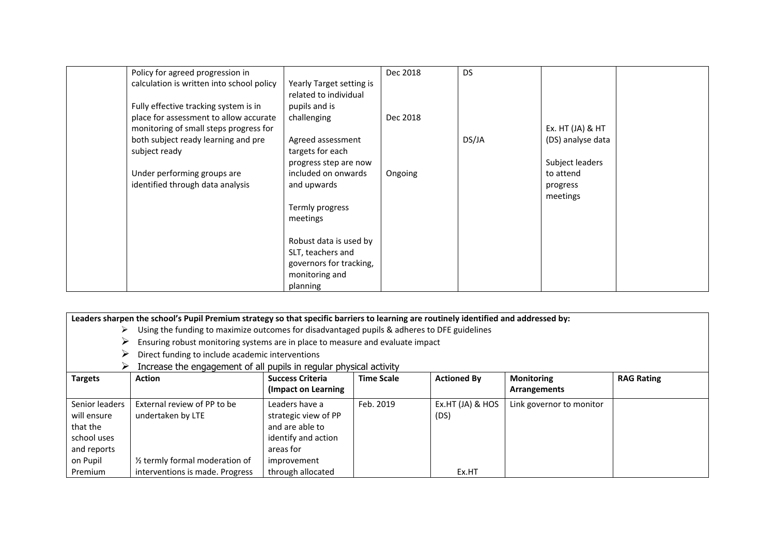| Policy for agreed progression in          |                          | Dec 2018 | <b>DS</b> |                   |  |
|-------------------------------------------|--------------------------|----------|-----------|-------------------|--|
| calculation is written into school policy | Yearly Target setting is |          |           |                   |  |
|                                           | related to individual    |          |           |                   |  |
| Fully effective tracking system is in     | pupils and is            |          |           |                   |  |
| place for assessment to allow accurate    | challenging              | Dec 2018 |           |                   |  |
| monitoring of small steps progress for    |                          |          |           | Ex. HT (JA) & HT  |  |
| both subject ready learning and pre       | Agreed assessment        |          | DS/JA     | (DS) analyse data |  |
| subject ready                             | targets for each         |          |           |                   |  |
|                                           | progress step are now    |          |           | Subject leaders   |  |
| Under performing groups are               | included on onwards      | Ongoing  |           | to attend         |  |
| identified through data analysis          | and upwards              |          |           | progress          |  |
|                                           |                          |          |           | meetings          |  |
|                                           | Termly progress          |          |           |                   |  |
|                                           | meetings                 |          |           |                   |  |
|                                           |                          |          |           |                   |  |
|                                           | Robust data is used by   |          |           |                   |  |
|                                           | SLT, teachers and        |          |           |                   |  |
|                                           | governors for tracking,  |          |           |                   |  |
|                                           | monitoring and           |          |           |                   |  |
|                                           | planning                 |          |           |                   |  |

|                | Leaders sharpen the school's Pupil Premium strategy so that specific barriers to learning are routinely identified and addressed by:<br>Using the funding to maximize outcomes for disadvantaged pupils & adheres to DFE guidelines |                         |                   |                    |                          |                   |  |  |
|----------------|-------------------------------------------------------------------------------------------------------------------------------------------------------------------------------------------------------------------------------------|-------------------------|-------------------|--------------------|--------------------------|-------------------|--|--|
|                | Ensuring robust monitoring systems are in place to measure and evaluate impact                                                                                                                                                      |                         |                   |                    |                          |                   |  |  |
|                | Direct funding to include academic interventions                                                                                                                                                                                    |                         |                   |                    |                          |                   |  |  |
|                | Increase the engagement of all pupils in regular physical activity                                                                                                                                                                  |                         |                   |                    |                          |                   |  |  |
| <b>Targets</b> | <b>Action</b>                                                                                                                                                                                                                       | <b>Success Criteria</b> | <b>Time Scale</b> | <b>Actioned By</b> | <b>Monitoring</b>        | <b>RAG Rating</b> |  |  |
|                |                                                                                                                                                                                                                                     | (Impact on Learning     |                   |                    | Arrangements             |                   |  |  |
| Senior leaders | External review of PP to be                                                                                                                                                                                                         | Leaders have a          | Feb. 2019         | Ex.HT (JA) & HOS   | Link governor to monitor |                   |  |  |
| will ensure    | undertaken by LTE                                                                                                                                                                                                                   | strategic view of PP    |                   | (DS)               |                          |                   |  |  |
| that the       |                                                                                                                                                                                                                                     | and are able to         |                   |                    |                          |                   |  |  |
| school uses    |                                                                                                                                                                                                                                     | identify and action     |                   |                    |                          |                   |  |  |
| and reports    |                                                                                                                                                                                                                                     | areas for               |                   |                    |                          |                   |  |  |
| on Pupil       | 1/ <sub>2</sub> termly formal moderation of                                                                                                                                                                                         | improvement             |                   |                    |                          |                   |  |  |
| Premium        | interventions is made. Progress                                                                                                                                                                                                     | through allocated       |                   | Ex.HT              |                          |                   |  |  |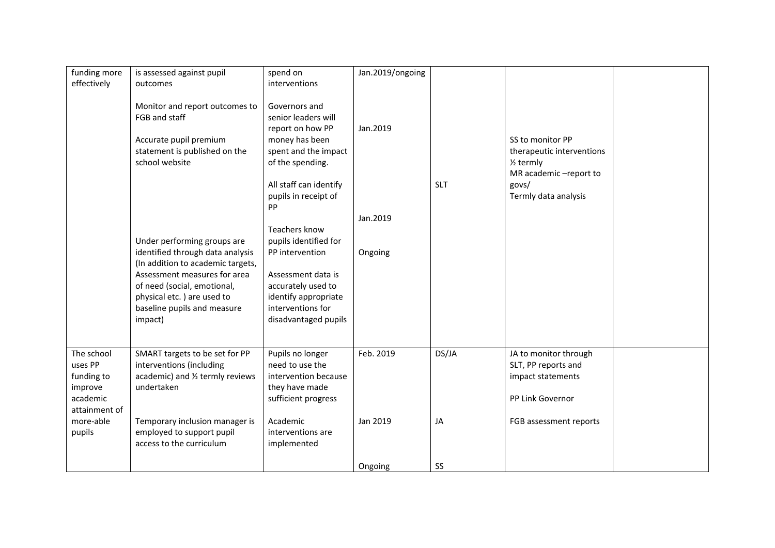| funding more  | is assessed against pupil         | spend on               | Jan.2019/ongoing |            |                           |  |
|---------------|-----------------------------------|------------------------|------------------|------------|---------------------------|--|
| effectively   | outcomes                          | interventions          |                  |            |                           |  |
|               |                                   |                        |                  |            |                           |  |
|               | Monitor and report outcomes to    | Governors and          |                  |            |                           |  |
|               | FGB and staff                     | senior leaders will    |                  |            |                           |  |
|               |                                   | report on how PP       | Jan.2019         |            |                           |  |
|               | Accurate pupil premium            | money has been         |                  |            | SS to monitor PP          |  |
|               | statement is published on the     | spent and the impact   |                  |            | therapeutic interventions |  |
|               | school website                    | of the spending.       |                  |            | $1/2$ termly              |  |
|               |                                   |                        |                  |            | MR academic-report to     |  |
|               |                                   | All staff can identify |                  | <b>SLT</b> | govs/                     |  |
|               |                                   | pupils in receipt of   |                  |            | Termly data analysis      |  |
|               |                                   | PP                     |                  |            |                           |  |
|               |                                   |                        | Jan.2019         |            |                           |  |
|               |                                   | Teachers know          |                  |            |                           |  |
|               | Under performing groups are       | pupils identified for  |                  |            |                           |  |
|               | identified through data analysis  | PP intervention        | Ongoing          |            |                           |  |
|               | (In addition to academic targets, |                        |                  |            |                           |  |
|               | Assessment measures for area      | Assessment data is     |                  |            |                           |  |
|               | of need (social, emotional,       | accurately used to     |                  |            |                           |  |
|               | physical etc.) are used to        | identify appropriate   |                  |            |                           |  |
|               | baseline pupils and measure       | interventions for      |                  |            |                           |  |
|               | impact)                           | disadvantaged pupils   |                  |            |                           |  |
|               |                                   |                        |                  |            |                           |  |
|               |                                   |                        |                  |            |                           |  |
| The school    | SMART targets to be set for PP    | Pupils no longer       | Feb. 2019        | DS/JA      | JA to monitor through     |  |
| uses PP       | interventions (including          | need to use the        |                  |            | SLT, PP reports and       |  |
| funding to    | academic) and 1/2 termly reviews  | intervention because   |                  |            | impact statements         |  |
| improve       | undertaken                        | they have made         |                  |            |                           |  |
| academic      |                                   | sufficient progress    |                  |            | PP Link Governor          |  |
| attainment of |                                   |                        |                  |            |                           |  |
| more-able     | Temporary inclusion manager is    | Academic               | Jan 2019         | JA         | FGB assessment reports    |  |
| pupils        | employed to support pupil         | interventions are      |                  |            |                           |  |
|               | access to the curriculum          | implemented            |                  |            |                           |  |
|               |                                   |                        |                  |            |                           |  |
|               |                                   |                        | Ongoing          | SS         |                           |  |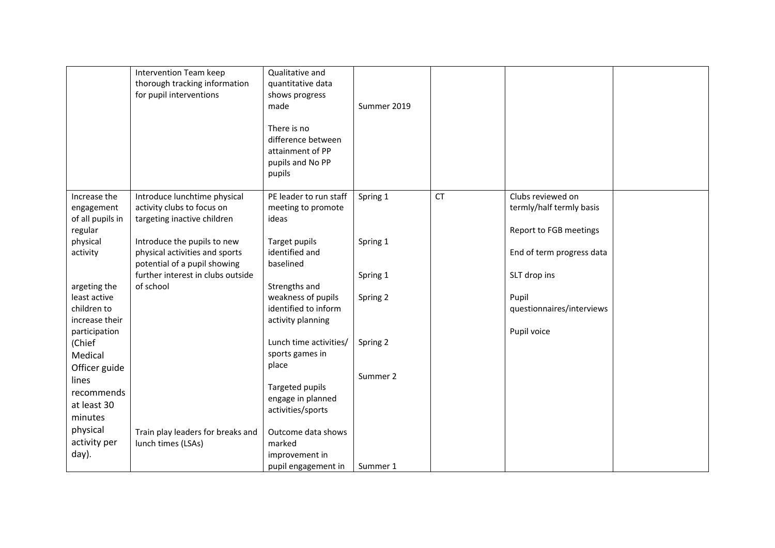|                                                                                                                                            | Intervention Team keep<br>thorough tracking information<br>for pupil interventions                                                                                                                                                           | Qualitative and<br>quantitative data<br>shows progress<br>made<br>There is no<br>difference between<br>attainment of PP<br>pupils and No PP<br>pupils                              | Summer 2019                      |           |                                                                                                                      |  |
|--------------------------------------------------------------------------------------------------------------------------------------------|----------------------------------------------------------------------------------------------------------------------------------------------------------------------------------------------------------------------------------------------|------------------------------------------------------------------------------------------------------------------------------------------------------------------------------------|----------------------------------|-----------|----------------------------------------------------------------------------------------------------------------------|--|
| Increase the<br>engagement<br>of all pupils in<br>regular<br>physical<br>activity<br>argeting the                                          | Introduce lunchtime physical<br>activity clubs to focus on<br>targeting inactive children<br>Introduce the pupils to new<br>physical activities and sports<br>potential of a pupil showing<br>further interest in clubs outside<br>of school | PE leader to run staff<br>meeting to promote<br>ideas<br>Target pupils<br>identified and<br>baselined<br>Strengths and                                                             | Spring 1<br>Spring 1<br>Spring 1 | <b>CT</b> | Clubs reviewed on<br>termly/half termly basis<br>Report to FGB meetings<br>End of term progress data<br>SLT drop ins |  |
| least active<br>children to<br>increase their<br>participation<br>(Chief<br>Medical<br>Officer guide<br>lines<br>recommends<br>at least 30 |                                                                                                                                                                                                                                              | weakness of pupils<br>identified to inform<br>activity planning<br>Lunch time activities/<br>sports games in<br>place<br>Targeted pupils<br>engage in planned<br>activities/sports | Spring 2<br>Spring 2<br>Summer 2 |           | Pupil<br>questionnaires/interviews<br>Pupil voice                                                                    |  |
| minutes<br>physical<br>activity per<br>day).                                                                                               | Train play leaders for breaks and<br>lunch times (LSAs)                                                                                                                                                                                      | Outcome data shows<br>marked<br>improvement in<br>pupil engagement in                                                                                                              | Summer 1                         |           |                                                                                                                      |  |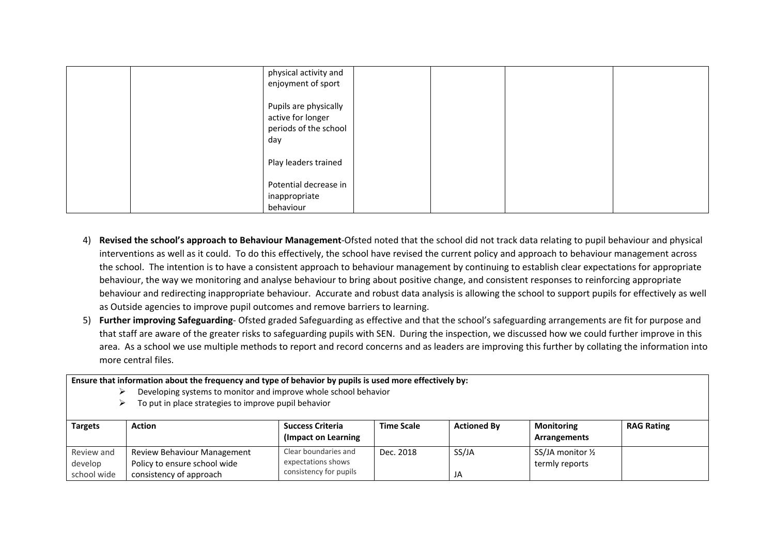| physical activity and<br>enjoyment of sport                                |  |  |
|----------------------------------------------------------------------------|--|--|
| Pupils are physically<br>active for longer<br>periods of the school<br>day |  |  |
| Play leaders trained                                                       |  |  |
| Potential decrease in<br>inappropriate<br>behaviour                        |  |  |

- 4) **Revised the school's approach to Behaviour Management**-Ofsted noted that the school did not track data relating to pupil behaviour and physical interventions as well as it could. To do this effectively, the school have revised the current policy and approach to behaviour management across the school. The intention is to have a consistent approach to behaviour management by continuing to establish clear expectations for appropriate behaviour, the way we monitoring and analyse behaviour to bring about positive change, and consistent responses to reinforcing appropriate behaviour and redirecting inappropriate behaviour. Accurate and robust data analysis is allowing the school to support pupils for effectively as well as Outside agencies to improve pupil outcomes and remove barriers to learning.
- 5) **Further improving Safeguarding** Ofsted graded Safeguarding as effective and that the school's safeguarding arrangements are fit for purpose and that staff are aware of the greater risks to safeguarding pupils with SEN. During the inspection, we discussed how we could further improve in this area. As a school we use multiple methods to report and record concerns and as leaders are improving this further by collating the information into more central files.

**Ensure that information about the frequency and type of behavior by pupils is used more effectively by:**

- $\triangleright$  Developing systems to monitor and improve whole school behavior
- $\triangleright$  To put in place strategies to improve pupil behavior

| <b>Targets</b> | <b>Action</b>                | <b>Success Criteria</b><br>(Impact on Learning) | <b>Time Scale</b> | <b>Actioned By</b> | <b>Monitoring</b><br>Arrangements | <b>RAG Rating</b> |
|----------------|------------------------------|-------------------------------------------------|-------------------|--------------------|-----------------------------------|-------------------|
| Review and     | Review Behaviour Management  | Clear boundaries and                            | Dec. 2018         | SS/JA              | SS/JA monitor $\frac{1}{2}$       |                   |
| develop        | Policy to ensure school wide | expectations shows                              |                   |                    | termly reports                    |                   |
| school wide    | consistency of approach      | consistency for pupils                          |                   | JA                 |                                   |                   |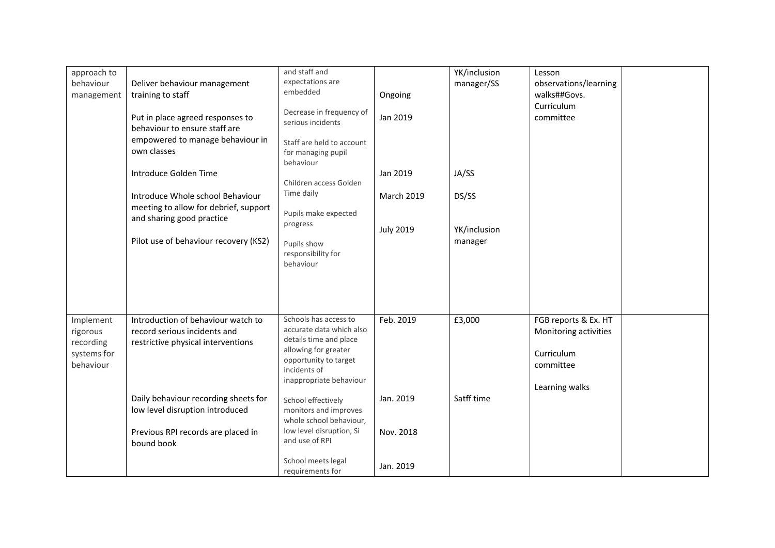| approach to<br>behaviour | Deliver behaviour management                                                                          | and staff and<br>expectations are                                          |                  | YK/inclusion<br>manager/SS | Lesson<br>observations/learning               |  |
|--------------------------|-------------------------------------------------------------------------------------------------------|----------------------------------------------------------------------------|------------------|----------------------------|-----------------------------------------------|--|
| management               | training to staff                                                                                     | embedded                                                                   | Ongoing          |                            | walks##Govs.                                  |  |
|                          | Put in place agreed responses to<br>behaviour to ensure staff are<br>empowered to manage behaviour in | Decrease in frequency of<br>serious incidents<br>Staff are held to account | Jan 2019         |                            | Curriculum<br>committee                       |  |
|                          | own classes                                                                                           | for managing pupil<br>behaviour                                            |                  |                            |                                               |  |
|                          | Introduce Golden Time                                                                                 | Children access Golden                                                     | Jan 2019         | JA/SS                      |                                               |  |
|                          | Introduce Whole school Behaviour                                                                      | Time daily                                                                 | March 2019       | DS/SS                      |                                               |  |
|                          | meeting to allow for debrief, support<br>and sharing good practice                                    | Pupils make expected<br>progress                                           | <b>July 2019</b> | YK/inclusion               |                                               |  |
|                          | Pilot use of behaviour recovery (KS2)                                                                 | Pupils show<br>responsibility for<br>behaviour                             | manager          |                            |                                               |  |
|                          |                                                                                                       |                                                                            |                  |                            |                                               |  |
| Implement<br>rigorous    | Introduction of behaviour watch to<br>record serious incidents and                                    | Schools has access to<br>accurate data which also                          | Feb. 2019        | £3,000                     | FGB reports & Ex. HT<br>Monitoring activities |  |
| recording                | restrictive physical interventions                                                                    | details time and place<br>allowing for greater                             |                  |                            |                                               |  |
| systems for<br>behaviour |                                                                                                       | opportunity to target                                                      |                  |                            | Curriculum<br>committee                       |  |
|                          |                                                                                                       | incidents of<br>inappropriate behaviour                                    |                  |                            |                                               |  |
|                          | Daily behaviour recording sheets for                                                                  | School effectively                                                         | Jan. 2019        | Satff time                 | Learning walks                                |  |
|                          | low level disruption introduced                                                                       | monitors and improves<br>whole school behaviour,                           |                  |                            |                                               |  |
|                          | Previous RPI records are placed in<br>bound book                                                      | low level disruption, Si<br>and use of RPI                                 | Nov. 2018        |                            |                                               |  |
|                          |                                                                                                       | School meets legal<br>requirements for                                     | Jan. 2019        |                            |                                               |  |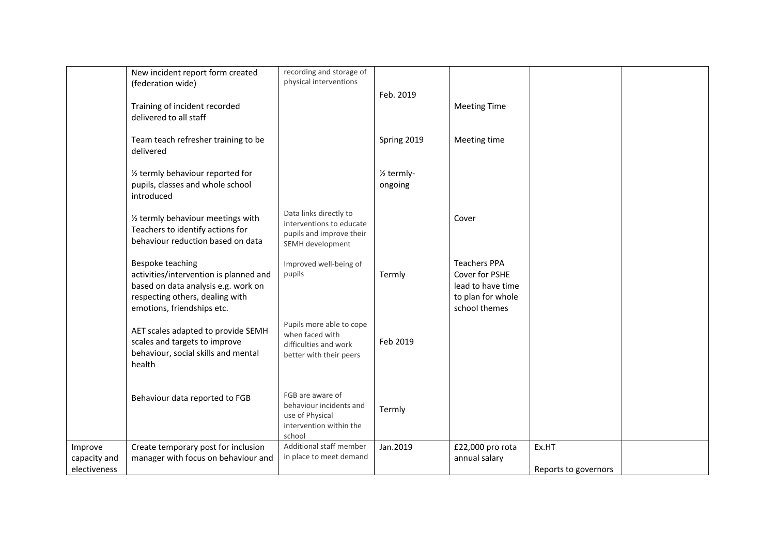|                                         | New incident report form created<br>(federation wide)                                                                                                              | recording and storage of<br>physical interventions                                                  |                                    |                                                                                                  |                               |  |
|-----------------------------------------|--------------------------------------------------------------------------------------------------------------------------------------------------------------------|-----------------------------------------------------------------------------------------------------|------------------------------------|--------------------------------------------------------------------------------------------------|-------------------------------|--|
|                                         | Training of incident recorded<br>delivered to all staff                                                                                                            |                                                                                                     | Feb. 2019                          | <b>Meeting Time</b>                                                                              |                               |  |
|                                         | Team teach refresher training to be<br>delivered                                                                                                                   |                                                                                                     | Spring 2019                        | Meeting time                                                                                     |                               |  |
|                                         | 1/2 termly behaviour reported for<br>pupils, classes and whole school<br>introduced                                                                                |                                                                                                     | 1/ <sub>2</sub> termly-<br>ongoing |                                                                                                  |                               |  |
|                                         | 1/2 termly behaviour meetings with<br>Teachers to identify actions for<br>behaviour reduction based on data                                                        | Data links directly to<br>interventions to educate<br>pupils and improve their<br>SEMH development  |                                    | Cover                                                                                            |                               |  |
|                                         | Bespoke teaching<br>activities/intervention is planned and<br>based on data analysis e.g. work on<br>respecting others, dealing with<br>emotions, friendships etc. | Improved well-being of<br>pupils                                                                    | Termly                             | <b>Teachers PPA</b><br>Cover for PSHE<br>lead to have time<br>to plan for whole<br>school themes |                               |  |
|                                         | AET scales adapted to provide SEMH<br>scales and targets to improve<br>behaviour, social skills and mental<br>health                                               | Pupils more able to cope<br>when faced with<br>difficulties and work<br>better with their peers     | Feb 2019                           |                                                                                                  |                               |  |
|                                         | Behaviour data reported to FGB                                                                                                                                     | FGB are aware of<br>behaviour incidents and<br>use of Physical<br>intervention within the<br>school | Termly                             |                                                                                                  |                               |  |
| Improve<br>capacity and<br>electiveness | Create temporary post for inclusion<br>manager with focus on behaviour and                                                                                         | Additional staff member<br>in place to meet demand                                                  | Jan.2019                           | £22,000 pro rota<br>annual salary                                                                | Ex.HT<br>Reports to governors |  |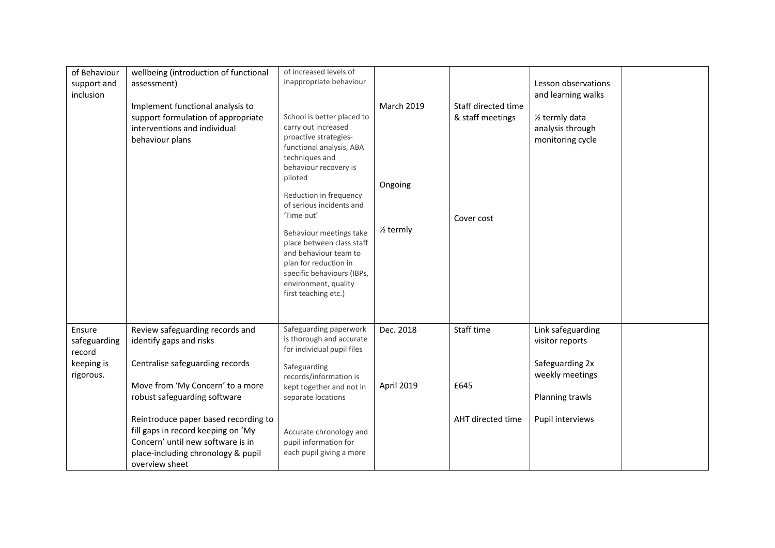| of Behaviour<br>support and<br>inclusion                    | wellbeing (introduction of functional<br>assessment)<br>Implement functional analysis to<br>support formulation of appropriate<br>interventions and individual<br>behaviour plans                         | of increased levels of<br>inappropriate behaviour<br>School is better placed to<br>carry out increased<br>proactive strategies-<br>functional analysis, ABA<br>techniques and<br>behaviour recovery is<br>piloted<br>Reduction in frequency<br>of serious incidents and<br>'Time out'<br>Behaviour meetings take<br>place between class staff<br>and behaviour team to<br>plan for reduction in<br>specific behaviours (IBPs,<br>environment, quality<br>first teaching etc.) | <b>March 2019</b><br>Ongoing<br>$\frac{1}{2}$ termly | Staff directed time<br>& staff meetings<br>Cover cost | Lesson observations<br>and learning walks<br>1/ <sub>2</sub> termly data<br>analysis through<br>monitoring cycle  |  |
|-------------------------------------------------------------|-----------------------------------------------------------------------------------------------------------------------------------------------------------------------------------------------------------|-------------------------------------------------------------------------------------------------------------------------------------------------------------------------------------------------------------------------------------------------------------------------------------------------------------------------------------------------------------------------------------------------------------------------------------------------------------------------------|------------------------------------------------------|-------------------------------------------------------|-------------------------------------------------------------------------------------------------------------------|--|
| Ensure<br>safeguarding<br>record<br>keeping is<br>rigorous. | Review safeguarding records and<br>identify gaps and risks<br>Centralise safeguarding records<br>Move from 'My Concern' to a more<br>robust safeguarding software<br>Reintroduce paper based recording to | Safeguarding paperwork<br>is thorough and accurate<br>for individual pupil files<br>Safeguarding<br>records/information is<br>kept together and not in<br>separate locations                                                                                                                                                                                                                                                                                                  | Dec. 2018<br>April 2019                              | Staff time<br>£645<br>AHT directed time               | Link safeguarding<br>visitor reports<br>Safeguarding 2x<br>weekly meetings<br>Planning trawls<br>Pupil interviews |  |
|                                                             | fill gaps in record keeping on 'My<br>Concern' until new software is in<br>place-including chronology & pupil<br>overview sheet                                                                           | Accurate chronology and<br>pupil information for<br>each pupil giving a more                                                                                                                                                                                                                                                                                                                                                                                                  |                                                      |                                                       |                                                                                                                   |  |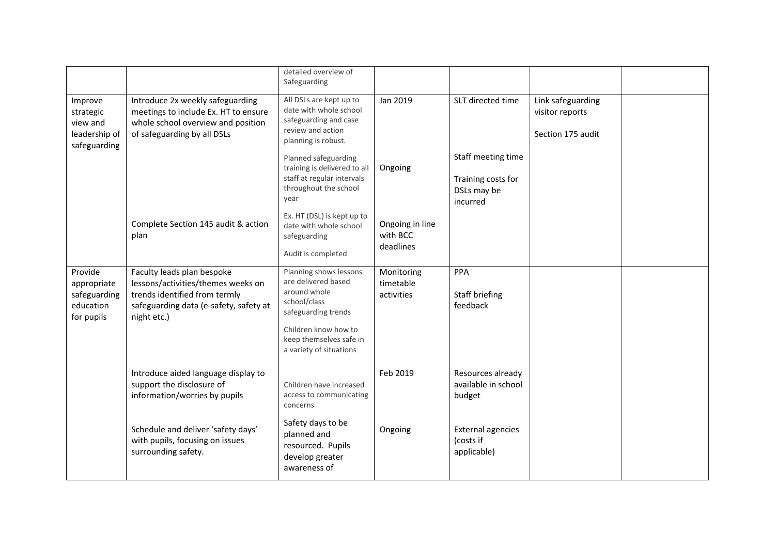|                                                                   |                                                                                                                                                            | detailed overview of<br>Safeguarding                                                                                                                                               |                                          |                                                                     |                                                           |  |
|-------------------------------------------------------------------|------------------------------------------------------------------------------------------------------------------------------------------------------------|------------------------------------------------------------------------------------------------------------------------------------------------------------------------------------|------------------------------------------|---------------------------------------------------------------------|-----------------------------------------------------------|--|
| Improve<br>strategic<br>view and<br>leadership of<br>safeguarding | Introduce 2x weekly safeguarding<br>meetings to include Ex. HT to ensure<br>whole school overview and position<br>of safeguarding by all DSLs              | All DSLs are kept up to<br>date with whole school<br>safeguarding and case<br>review and action<br>planning is robust.                                                             | Jan 2019                                 | SLT directed time                                                   | Link safeguarding<br>visitor reports<br>Section 175 audit |  |
|                                                                   |                                                                                                                                                            | Planned safeguarding<br>training is delivered to all<br>staff at regular intervals<br>throughout the school<br>year                                                                | Ongoing                                  | Staff meeting time<br>Training costs for<br>DSLs may be<br>incurred |                                                           |  |
|                                                                   | Complete Section 145 audit & action<br>plan                                                                                                                | Ex. HT (DSL) is kept up to<br>date with whole school<br>safeguarding<br>Audit is completed                                                                                         | Ongoing in line<br>with BCC<br>deadlines |                                                                     |                                                           |  |
| Provide<br>appropriate<br>safeguarding<br>education<br>for pupils | Faculty leads plan bespoke<br>lessons/activities/themes weeks on<br>trends identified from termly<br>safeguarding data (e-safety, safety at<br>night etc.) | Planning shows lessons<br>are delivered based<br>around whole<br>school/class<br>safeguarding trends<br>Children know how to<br>keep themselves safe in<br>a variety of situations | Monitoring<br>timetable<br>activities    | PPA<br>Staff briefing<br>feedback                                   |                                                           |  |
|                                                                   | Introduce aided language display to<br>support the disclosure of<br>information/worries by pupils                                                          | Children have increased<br>access to communicating<br>concerns                                                                                                                     | Feb 2019                                 | Resources already<br>available in school<br>budget                  |                                                           |  |
|                                                                   | Schedule and deliver 'safety days'<br>with pupils, focusing on issues<br>surrounding safety.                                                               | Safety days to be<br>planned and<br>resourced. Pupils<br>develop greater<br>awareness of                                                                                           | Ongoing                                  | <b>External agencies</b><br>(costs if<br>applicable)                |                                                           |  |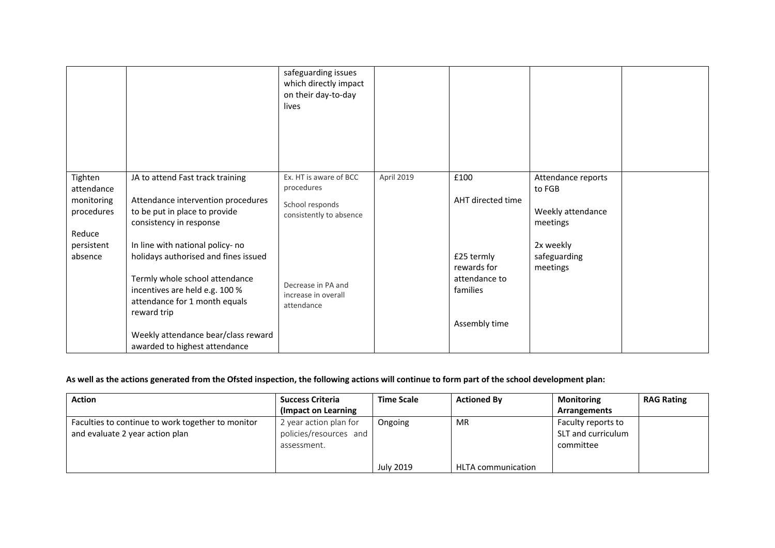|                                                             |                                                                                                                                                                                                                                                                      | safeguarding issues<br>which directly impact<br>on their day-to-day<br>lives       |            |                                                                         |                                                               |  |
|-------------------------------------------------------------|----------------------------------------------------------------------------------------------------------------------------------------------------------------------------------------------------------------------------------------------------------------------|------------------------------------------------------------------------------------|------------|-------------------------------------------------------------------------|---------------------------------------------------------------|--|
| Tighten<br>attendance<br>monitoring<br>procedures<br>Reduce | JA to attend Fast track training<br>Attendance intervention procedures<br>to be put in place to provide<br>consistency in response                                                                                                                                   | Ex. HT is aware of BCC<br>procedures<br>School responds<br>consistently to absence | April 2019 | £100<br>AHT directed time                                               | Attendance reports<br>to FGB<br>Weekly attendance<br>meetings |  |
| persistent<br>absence                                       | In line with national policy- no<br>holidays authorised and fines issued<br>Termly whole school attendance<br>incentives are held e.g. 100 %<br>attendance for 1 month equals<br>reward trip<br>Weekly attendance bear/class reward<br>awarded to highest attendance | Decrease in PA and<br>increase in overall<br>attendance                            |            | £25 termly<br>rewards for<br>attendance to<br>families<br>Assembly time | 2x weekly<br>safeguarding<br>meetings                         |  |

## **As well as the actions generated from the Ofsted inspection, the following actions will continue to form part of the school development plan:**

| Action                                                                               | <b>Success Criteria</b>                                         | <b>Time Scale</b> | <b>Actioned By</b>        | Monitoring                                            | <b>RAG Rating</b> |
|--------------------------------------------------------------------------------------|-----------------------------------------------------------------|-------------------|---------------------------|-------------------------------------------------------|-------------------|
|                                                                                      | (Impact on Learning)                                            |                   |                           | Arrangements                                          |                   |
| Faculties to continue to work together to monitor<br>and evaluate 2 year action plan | 2 year action plan for<br>policies/resources and<br>assessment. | Ongoing           | MR                        | Faculty reports to<br>SLT and curriculum<br>committee |                   |
|                                                                                      |                                                                 | July 2019         | <b>HLTA</b> communication |                                                       |                   |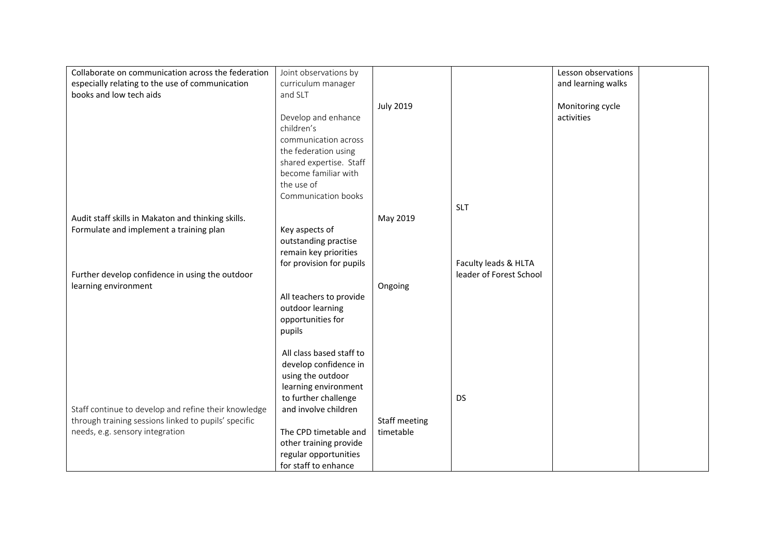| Collaborate on communication across the federation   | Joint observations by    |                  |                         | Lesson observations |  |
|------------------------------------------------------|--------------------------|------------------|-------------------------|---------------------|--|
| especially relating to the use of communication      | curriculum manager       |                  |                         | and learning walks  |  |
| books and low tech aids                              | and SLT                  |                  |                         |                     |  |
|                                                      |                          | <b>July 2019</b> |                         | Monitoring cycle    |  |
|                                                      | Develop and enhance      |                  |                         | activities          |  |
|                                                      | children's               |                  |                         |                     |  |
|                                                      | communication across     |                  |                         |                     |  |
|                                                      | the federation using     |                  |                         |                     |  |
|                                                      | shared expertise. Staff  |                  |                         |                     |  |
|                                                      | become familiar with     |                  |                         |                     |  |
|                                                      | the use of               |                  |                         |                     |  |
|                                                      | Communication books      |                  |                         |                     |  |
|                                                      |                          |                  | <b>SLT</b>              |                     |  |
| Audit staff skills in Makaton and thinking skills.   |                          | May 2019         |                         |                     |  |
| Formulate and implement a training plan              | Key aspects of           |                  |                         |                     |  |
|                                                      | outstanding practise     |                  |                         |                     |  |
|                                                      | remain key priorities    |                  |                         |                     |  |
|                                                      | for provision for pupils |                  | Faculty leads & HLTA    |                     |  |
| Further develop confidence in using the outdoor      |                          |                  | leader of Forest School |                     |  |
| learning environment                                 |                          | Ongoing          |                         |                     |  |
|                                                      | All teachers to provide  |                  |                         |                     |  |
|                                                      | outdoor learning         |                  |                         |                     |  |
|                                                      | opportunities for        |                  |                         |                     |  |
|                                                      | pupils                   |                  |                         |                     |  |
|                                                      |                          |                  |                         |                     |  |
|                                                      | All class based staff to |                  |                         |                     |  |
|                                                      | develop confidence in    |                  |                         |                     |  |
|                                                      | using the outdoor        |                  |                         |                     |  |
|                                                      | learning environment     |                  |                         |                     |  |
|                                                      | to further challenge     |                  | <b>DS</b>               |                     |  |
| Staff continue to develop and refine their knowledge | and involve children     |                  |                         |                     |  |
| through training sessions linked to pupils' specific |                          | Staff meeting    |                         |                     |  |
| needs, e.g. sensory integration                      | The CPD timetable and    | timetable        |                         |                     |  |
|                                                      | other training provide   |                  |                         |                     |  |
|                                                      | regular opportunities    |                  |                         |                     |  |
|                                                      | for staff to enhance     |                  |                         |                     |  |